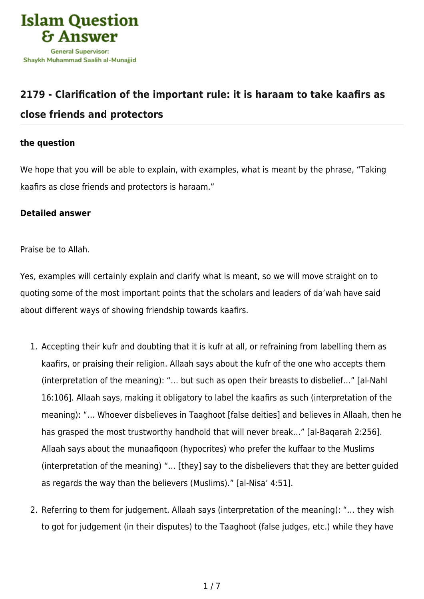

## **[2179 - Clarification of the important rule: it is haraam to take kaafirs as](https://islamqa.info/en/answers/2179/clarification-of-the-important-rule-it-is-haraam-to-take-kaafirs-as-close-friends-and-protectors) [close friends and protectors](https://islamqa.info/en/answers/2179/clarification-of-the-important-rule-it-is-haraam-to-take-kaafirs-as-close-friends-and-protectors)**

## **the question**

We hope that you will be able to explain, with examples, what is meant by the phrase, "Taking kaafirs as close friends and protectors is haraam."

## **Detailed answer**

Praise be to Allah.

Yes, examples will certainly explain and clarify what is meant, so we will move straight on to quoting some of the most important points that the scholars and leaders of da'wah have said about different ways of showing friendship towards kaafirs.

- 1. Accepting their kufr and doubting that it is kufr at all, or refraining from labelling them as kaafirs, or praising their religion. Allaah says about the kufr of the one who accepts them (interpretation of the meaning): "… but such as open their breasts to disbelief…" [al-Nahl 16:106]. Allaah says, making it obligatory to label the kaafirs as such (interpretation of the meaning): "… Whoever disbelieves in Taaghoot [false deities] and believes in Allaah, then he has grasped the most trustworthy handhold that will never break..." [al-Bagarah 2:256]. Allaah says about the munaafiqoon (hypocrites) who prefer the kuffaar to the Muslims (interpretation of the meaning) "… [they] say to the disbelievers that they are better guided as regards the way than the believers (Muslims)." [al-Nisa' 4:51].
- 2. Referring to them for judgement. Allaah says (interpretation of the meaning): "… they wish to got for judgement (in their disputes) to the Taaghoot (false judges, etc.) while they have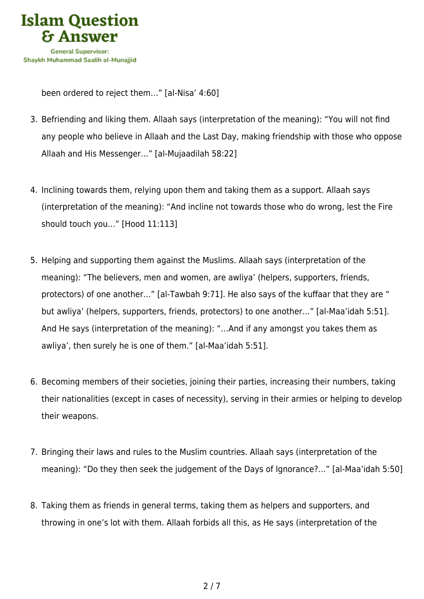

been ordered to reject them…" [al-Nisa' 4:60]

- 3. Befriending and liking them. Allaah says (interpretation of the meaning): "You will not find any people who believe in Allaah and the Last Day, making friendship with those who oppose Allaah and His Messenger…" [al-Mujaadilah 58:22]
- 4. Inclining towards them, relying upon them and taking them as a support. Allaah says (interpretation of the meaning): "And incline not towards those who do wrong, lest the Fire should touch you…" [Hood 11:113]
- 5. Helping and supporting them against the Muslims. Allaah says (interpretation of the meaning): "The believers, men and women, are awliya' (helpers, supporters, friends, protectors) of one another…" [al-Tawbah 9:71]. He also says of the kuffaar that they are " but awliya' (helpers, supporters, friends, protectors) to one another…" [al-Maa'idah 5:51]. And He says (interpretation of the meaning): "…And if any amongst you takes them as awliya', then surely he is one of them." [al-Maa'idah 5:51].
- 6. Becoming members of their societies, joining their parties, increasing their numbers, taking their nationalities (except in cases of necessity), serving in their armies or helping to develop their weapons.
- 7. Bringing their laws and rules to the Muslim countries. Allaah says (interpretation of the meaning): "Do they then seek the judgement of the Days of Ignorance?…" [al-Maa'idah 5:50]
- 8. Taking them as friends in general terms, taking them as helpers and supporters, and throwing in one's lot with them. Allaah forbids all this, as He says (interpretation of the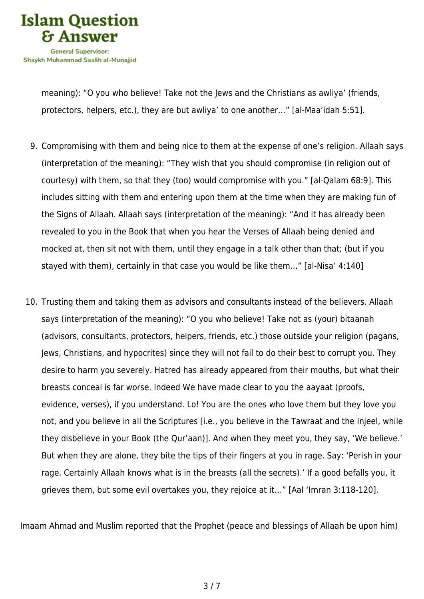

meaning): "O you who believe! Take not the Jews and the Christians as awliya' (friends, protectors, helpers, etc.), they are but awliya' to one another…" [al-Maa'idah 5:51].

- 9. Compromising with them and being nice to them at the expense of one's religion. Allaah says (interpretation of the meaning): "They wish that you should compromise (in religion out of courtesy) with them, so that they (too) would compromise with you." [al-Qalam 68:9]. This includes sitting with them and entering upon them at the time when they are making fun of the Signs of Allaah. Allaah says (interpretation of the meaning): "And it has already been revealed to you in the Book that when you hear the Verses of Allaah being denied and mocked at, then sit not with them, until they engage in a talk other than that; (but if you stayed with them), certainly in that case you would be like them…" [al-Nisa' 4:140]
- 10. Trusting them and taking them as advisors and consultants instead of the believers. Allaah says (interpretation of the meaning): "O you who believe! Take not as (your) bitaanah (advisors, consultants, protectors, helpers, friends, etc.) those outside your religion (pagans, Jews, Christians, and hypocrites) since they will not fail to do their best to corrupt you. They desire to harm you severely. Hatred has already appeared from their mouths, but what their breasts conceal is far worse. Indeed We have made clear to you the aayaat (proofs, evidence, verses), if you understand. Lo! You are the ones who love them but they love you not, and you believe in all the Scriptures [i.e., you believe in the Tawraat and the Injeel, while they disbelieve in your Book (the Qur'aan)]. And when they meet you, they say, 'We believe.' But when they are alone, they bite the tips of their fingers at you in rage. Say: 'Perish in your rage. Certainly Allaah knows what is in the breasts (all the secrets).' If a good befalls you, it grieves them, but some evil overtakes you, they rejoice at it…" [Aal 'Imran 3:118-120].

Imaam Ahmad and Muslim reported that the Prophet (peace and blessings of Allaah be upon him)

3 / 7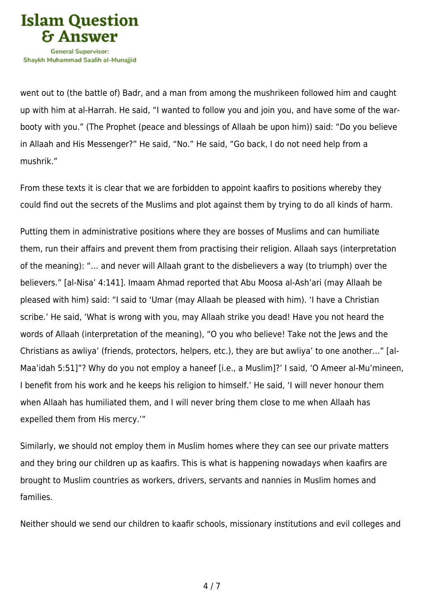

went out to (the battle of) Badr, and a man from among the mushrikeen followed him and caught up with him at al-Harrah. He said, "I wanted to follow you and join you, and have some of the warbooty with you." (The Prophet (peace and blessings of Allaah be upon him)) said: "Do you believe in Allaah and His Messenger?" He said, "No." He said, "Go back, I do not need help from a mushrik."

From these texts it is clear that we are forbidden to appoint kaafirs to positions whereby they could find out the secrets of the Muslims and plot against them by trying to do all kinds of harm.

Putting them in administrative positions where they are bosses of Muslims and can humiliate them, run their affairs and prevent them from practising their religion. Allaah says (interpretation of the meaning): "… and never will Allaah grant to the disbelievers a way (to triumph) over the believers." [al-Nisa' 4:141]. Imaam Ahmad reported that Abu Moosa al-Ash'ari (may Allaah be pleased with him) said: "I said to 'Umar (may Allaah be pleased with him). 'I have a Christian scribe.' He said, 'What is wrong with you, may Allaah strike you dead! Have you not heard the words of Allaah (interpretation of the meaning), "O you who believe! Take not the Jews and the Christians as awliya' (friends, protectors, helpers, etc.), they are but awliya' to one another…" [al-Maa'idah 5:51]"? Why do you not employ a haneef [i.e., a Muslim]?' I said, 'O Ameer al-Mu'mineen, I benefit from his work and he keeps his religion to himself.' He said, 'I will never honour them when Allaah has humiliated them, and I will never bring them close to me when Allaah has expelled them from His mercy.'"

Similarly, we should not employ them in Muslim homes where they can see our private matters and they bring our children up as kaafirs. This is what is happening nowadays when kaafirs are brought to Muslim countries as workers, drivers, servants and nannies in Muslim homes and families.

Neither should we send our children to kaafir schools, missionary institutions and evil colleges and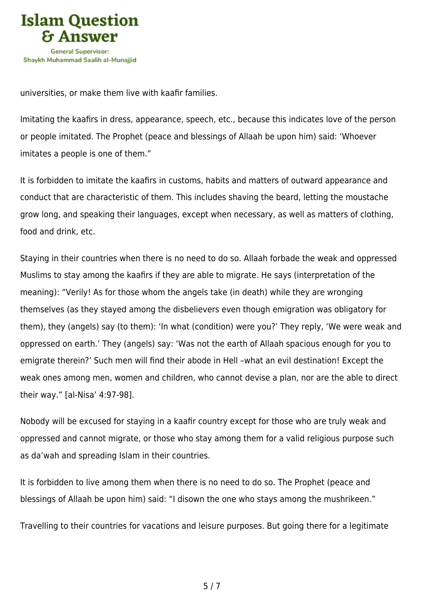

universities, or make them live with kaafir families.

Imitating the kaafirs in dress, appearance, speech, etc., because this indicates love of the person or people imitated. The Prophet (peace and blessings of Allaah be upon him) said: 'Whoever imitates a people is one of them."

It is forbidden to imitate the kaafirs in customs, habits and matters of outward appearance and conduct that are characteristic of them. This includes shaving the beard, letting the moustache grow long, and speaking their languages, except when necessary, as well as matters of clothing, food and drink, etc.

Staying in their countries when there is no need to do so. Allaah forbade the weak and oppressed Muslims to stay among the kaafirs if they are able to migrate. He says (interpretation of the meaning): "Verily! As for those whom the angels take (in death) while they are wronging themselves (as they stayed among the disbelievers even though emigration was obligatory for them), they (angels) say (to them): 'In what (condition) were you?' They reply, 'We were weak and oppressed on earth.' They (angels) say: 'Was not the earth of Allaah spacious enough for you to emigrate therein?' Such men will find their abode in Hell –what an evil destination! Except the weak ones among men, women and children, who cannot devise a plan, nor are the able to direct their way." [al-Nisa' 4:97-98].

Nobody will be excused for staying in a kaafir country except for those who are truly weak and oppressed and cannot migrate, or those who stay among them for a valid religious purpose such as da'wah and spreading Islam in their countries.

It is forbidden to live among them when there is no need to do so. The Prophet (peace and blessings of Allaah be upon him) said: "I disown the one who stays among the mushrikeen."

Travelling to their countries for vacations and leisure purposes. But going there for a legitimate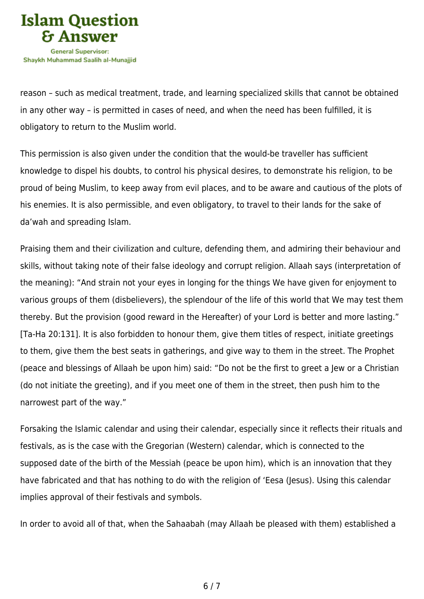

reason – such as medical treatment, trade, and learning specialized skills that cannot be obtained in any other way – is permitted in cases of need, and when the need has been fulfilled, it is obligatory to return to the Muslim world.

This permission is also given under the condition that the would-be traveller has sufficient knowledge to dispel his doubts, to control his physical desires, to demonstrate his religion, to be proud of being Muslim, to keep away from evil places, and to be aware and cautious of the plots of his enemies. It is also permissible, and even obligatory, to travel to their lands for the sake of da'wah and spreading Islam.

Praising them and their civilization and culture, defending them, and admiring their behaviour and skills, without taking note of their false ideology and corrupt religion. Allaah says (interpretation of the meaning): "And strain not your eyes in longing for the things We have given for enjoyment to various groups of them (disbelievers), the splendour of the life of this world that We may test them thereby. But the provision (good reward in the Hereafter) of your Lord is better and more lasting." [Ta-Ha 20:131]. It is also forbidden to honour them, give them titles of respect, initiate greetings to them, give them the best seats in gatherings, and give way to them in the street. The Prophet (peace and blessings of Allaah be upon him) said: "Do not be the first to greet a Jew or a Christian (do not initiate the greeting), and if you meet one of them in the street, then push him to the narrowest part of the way."

Forsaking the Islamic calendar and using their calendar, especially since it reflects their rituals and festivals, as is the case with the Gregorian (Western) calendar, which is connected to the supposed date of the birth of the Messiah (peace be upon him), which is an innovation that they have fabricated and that has nothing to do with the religion of 'Eesa (Jesus). Using this calendar implies approval of their festivals and symbols.

In order to avoid all of that, when the Sahaabah (may Allaah be pleased with them) established a